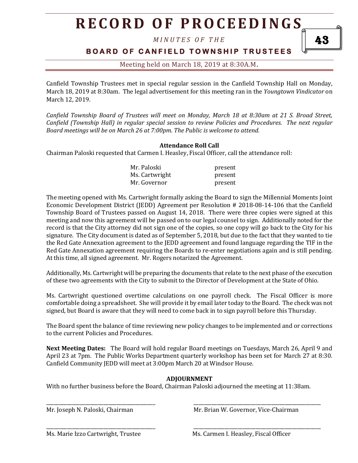# **R E C O R D O F P R O C E E D I N GS**

*M I N U T E S O F T H E* 

### **B O A R D O F C A N F I E L D T O W N S H I P T R U S T E E S**

### Meeting held on March 18, 2019 at 8:30A.M**.**

Canfield Township Trustees met in special regular session in the Canfield Township Hall on Monday, March 18, 2019 at 8:30am. The legal advertisement for this meeting ran in the *Youngtown Vindicator* on March 12, 2019.

*Canfield Township Board of Trustees will meet on Monday, March 18 at 8:30am at 21 S. Broad Street, Canfield (Township Hall) in regular special session to review Policies and Procedures. The next regular Board meetings will be on March 26 at 7:00pm. The Public is welcome to attend.*

#### **Attendance Roll Call**

Chairman Paloski requested that Carmen I. Heasley, Fiscal Officer, call the attendance roll:

| Mr. Paloski    | present |
|----------------|---------|
| Ms. Cartwright | present |
| Mr. Governor   | present |

The meeting opened with Ms. Cartwright formally asking the Board to sign the Millennial Moments Joint Economic Development District (JEDD) Agreement per Resolution # 2018-08-14-106 that the Canfield Township Board of Trustees passed on August 14, 2018. There were three copies were signed at this meeting and now this agreement will be passed on to our legal counsel to sign. Additionally noted for the record is that the City attorney did not sign one of the copies, so one copy will go back to the City for his signature. The City document is dated as of September 5, 2018, but due to the fact that they wanted to tie the Red Gate Annexation agreement to the JEDD agreement and found language regarding the TIF in the Red Gate Annexation agreement requiring the Boards to re-enter negotiations again and is still pending. At this time, all signed agreement. Mr. Rogers notarized the Agreement.

Additionally, Ms. Cartwright will be preparing the documents that relate to the next phase of the execution of these two agreements with the City to submit to the Director of Development at the State of Ohio.

Ms. Cartwright questioned overtime calculations on one payroll check. The Fiscal Officer is more comfortable doing a spreadsheet. She will provide it by email later today to the Board. The check was not signed, but Board is aware that they will need to come back in to sign payroll before this Thursday.

The Board spent the balance of time reviewing new policy changes to be implemented and or corrections to the current Policies and Procedures.

**Next Meeting Dates:** The Board will hold regular Board meetings on Tuesdays, March 26, April 9 and April 23 at 7pm. The Public Works Department quarterly workshop has been set for March 27 at 8:30. Canfield Community JEDD will meet at 3:00pm March 20 at Windsor House.

#### **ADJOURNMENT**

With no further business before the Board, Chairman Paloski adjourned the meeting at 11:38am.

\_\_\_\_\_\_\_\_\_\_\_\_\_\_\_\_\_\_\_\_\_\_\_\_\_\_\_\_\_\_\_\_\_\_\_\_\_\_\_\_\_\_ \_\_\_\_\_\_\_\_\_\_\_\_\_\_\_\_\_\_\_\_\_\_\_\_\_\_\_\_\_\_\_\_\_\_\_\_\_\_\_\_\_\_\_\_\_\_\_\_\_

\_\_\_\_\_\_\_\_\_\_\_\_\_\_\_\_\_\_\_\_\_\_\_\_\_\_\_\_\_\_\_\_\_\_\_\_\_\_\_\_\_\_ \_\_\_\_\_\_\_\_\_\_\_\_\_\_\_\_\_\_\_\_\_\_\_\_\_\_\_\_\_\_\_\_\_\_\_\_\_\_\_\_\_\_\_\_\_\_\_\_\_

Mr. Joseph N. Paloski, Chairman Museum Mr. Brian W. Governor, Vice-Chairman

Ms. Marie Izzo Cartwright, Trustee Ms. Carmen I. Heasley, Fiscal Officer

43